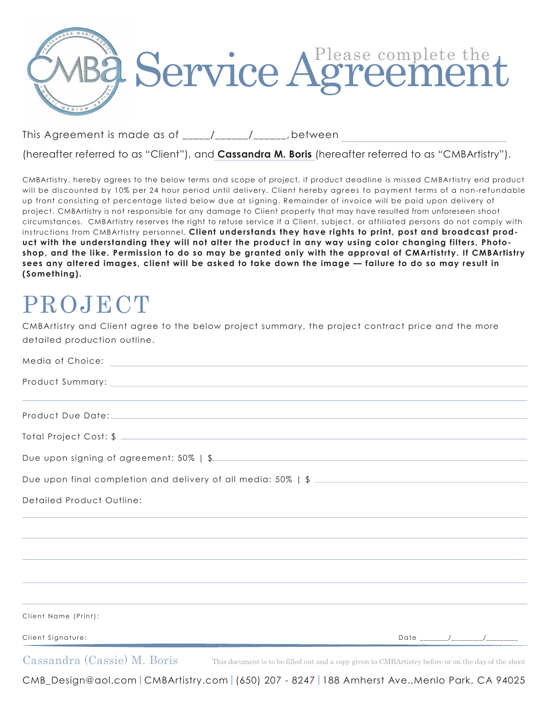

This Agreement is made as of  $\frac{1}{2}$  /  $\frac{1}{2}$ , between

(hereafter referred to as "Client"), and **Cassandra M. Boris** (hereafter referred to as "CMBArtistry").

CMBArtistry, hereby agrees to the below terms and scope of project, if product deadline is missed CMBArtistry end product will be discounted by 10% per 24 hour period until delivery. Client hereby agrees to payment terms of a non-refundable up front consisting of percentage listed below due at signing. Remainder of invoice will be paid upon delivery of project. CMBArtistry is not responsible for any damage to Client property that may have resulted from unforeseen shoot circumstances. CMBArtistry reserves the right to refuse service if a Client, subject, or affiliated persons do not comply with instructions from CMBArtistry personnel. **Client understands they have rights to print, post and broadcast product with the understanding they will not alter the product in any way using color changing filters, Photoshop, and the like. Permission to do so may be granted only with the approval of CMArtistrty. If CMBArtistry sees any altered images, client will be asked to take down the image — failure to do so may result in (Something).**

## **PROJECT**

CMBArtistry and Client agree to the below project summary, the project contract price and the more detailed production outline.

| Due upon signing of agreement: 50%   \$                                          |  |
|----------------------------------------------------------------------------------|--|
|                                                                                  |  |
| Detailed Product Outline:                                                        |  |
|                                                                                  |  |
|                                                                                  |  |
| ,我们也不会有什么。""我们的人,我们也不会有什么?""我们的人,我们也不会有什么?""我们的人,我们也不会有什么?""我们的人,我们也不会有什么?""我们的人 |  |
|                                                                                  |  |
| Client Name (Print):                                                             |  |
| Client Signature:                                                                |  |
| $\alpha$ 1 $(\alpha$ $\alpha$ $\alpha$ $\alpha$                                  |  |

Cassandra (Cassie) M. Boris This document is to be filled out and a copy given to CMBArtistry before or on the day of the shoot

CMB\_Design@aol.com|CMBArtistry.com|(650) 207 - 8247|188 Amherst Ave.,Menlo Park, CA 94025